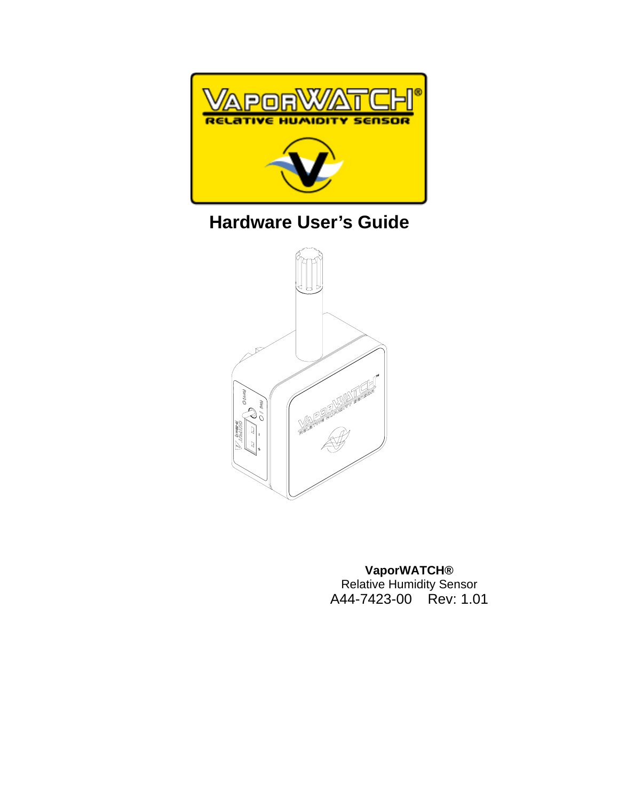

# **Hardware User's Guide**



**VaporWATCH®**  Relative Humidity Sensor A44-7423-00 Rev: 1.01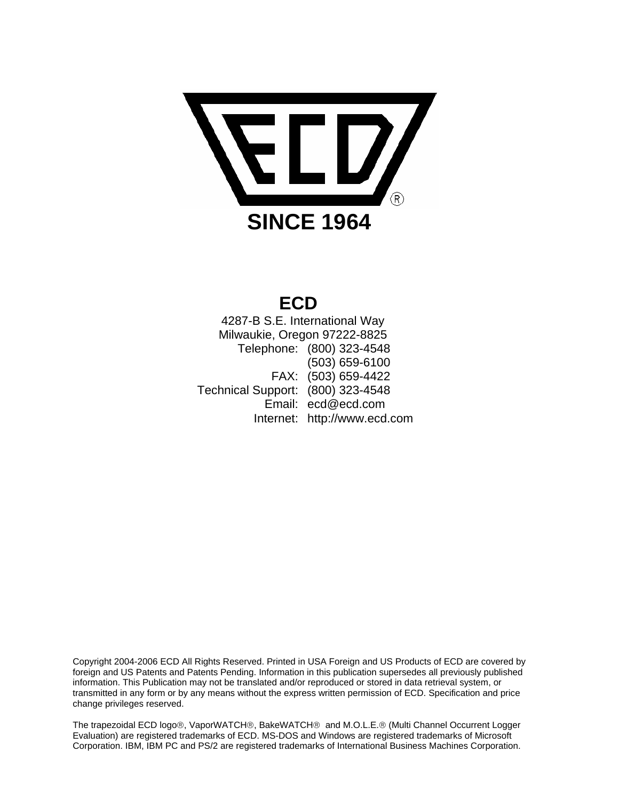

# **ECD**

 4287-B S.E. International Way Milwaukie, Oregon 97222-8825 Telephone: (800) 323-4548 (503) 659-6100 FAX: (503) 659-4422 Technical Support: (800) 323-4548 Email: ecd@ecd.com Internet: http://www.ecd.com

Copyright 2004-2006 ECD All Rights Reserved. Printed in USA Foreign and US Products of ECD are covered by foreign and US Patents and Patents Pending. Information in this publication supersedes all previously published information. This Publication may not be translated and/or reproduced or stored in data retrieval system, or transmitted in any form or by any means without the express written permission of ECD. Specification and price change privileges reserved.

The trapezoidal ECD logo®, VaporWATCH®, BakeWATCH® and M.O.L.E.® (Multi Channel Occurrent Logger Evaluation) are registered trademarks of ECD. MS-DOS and Windows are registered trademarks of Microsoft Corporation. IBM, IBM PC and PS/2 are registered trademarks of International Business Machines Corporation.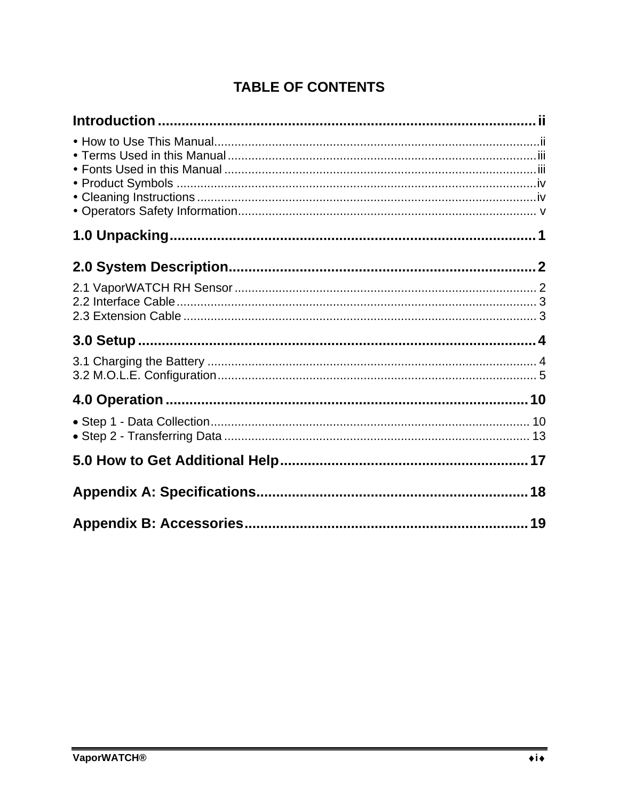# **TABLE OF CONTENTS**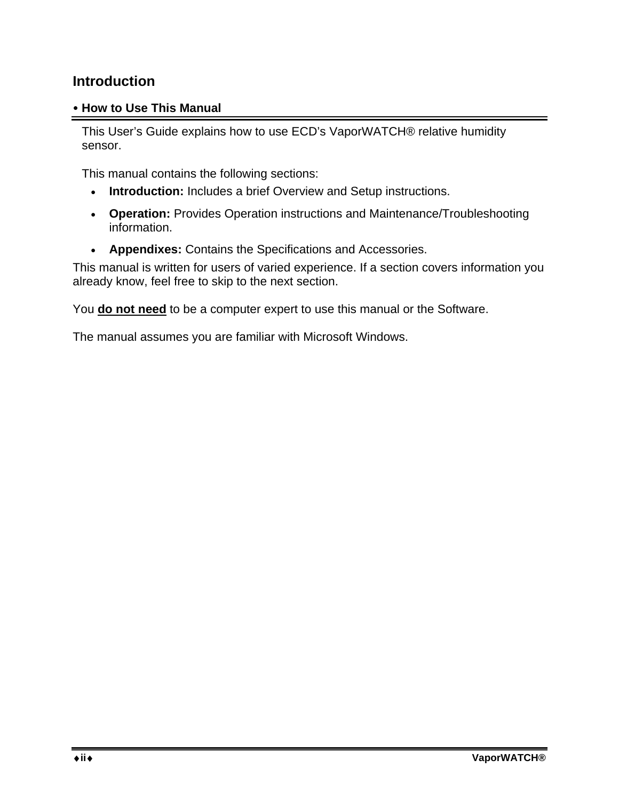#### **Introduction**

#### y **How to Use This Manual**

This User's Guide explains how to use ECD's VaporWATCH® relative humidity sensor.

This manual contains the following sections:

- **Introduction:** Includes a brief Overview and Setup instructions.
- **Operation:** Provides Operation instructions and Maintenance/Troubleshooting information.
- **Appendixes:** Contains the Specifications and Accessories.

This manual is written for users of varied experience. If a section covers information you already know, feel free to skip to the next section.

You **do not need** to be a computer expert to use this manual or the Software.

The manual assumes you are familiar with Microsoft Windows.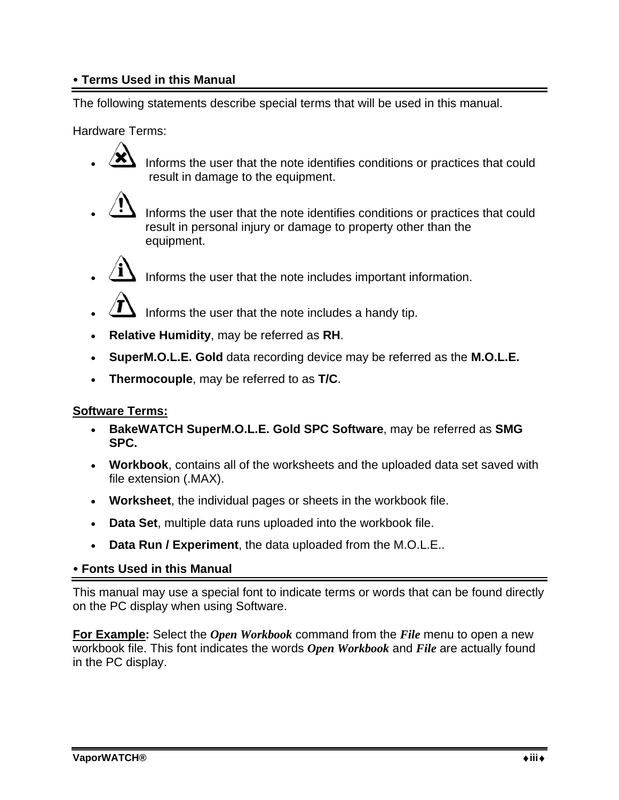#### **• Terms Used in this Manual**

The following statements describe special terms that will be used in this manual.

Hardware Terms:

- Informs the user that the note identifies conditions or practices that could result in damage to the equipment.
- - Informs the user that the note identifies conditions or practices that could result in personal injury or damage to property other than the equipment.
- Informs the user that the note includes important information.
- Informs the user that the note includes a handy tip.
- **Relative Humidity**, may be referred as **RH**.
- **SuperM.O.L.E. Gold** data recording device may be referred as the **M.O.L.E.**
- **Thermocouple**, may be referred to as **T/C**.

#### **Software Terms:**

- **BakeWATCH SuperM.O.L.E. Gold SPC Software**, may be referred as **SMG SPC.**
- **Workbook**, contains all of the worksheets and the uploaded data set saved with file extension (.MAX).
- **Worksheet**, the individual pages or sheets in the workbook file.
- **Data Set**, multiple data runs uploaded into the workbook file.
- **Data Run / Experiment**, the data uploaded from the M.O.L.E..

#### y **Fonts Used in this Manual**

This manual may use a special font to indicate terms or words that can be found directly on the PC display when using Software.

**For Example:** Select the *Open Workbook* command from the *File* menu to open a new workbook file. This font indicates the words *Open Workbook* and *File* are actually found in the PC display.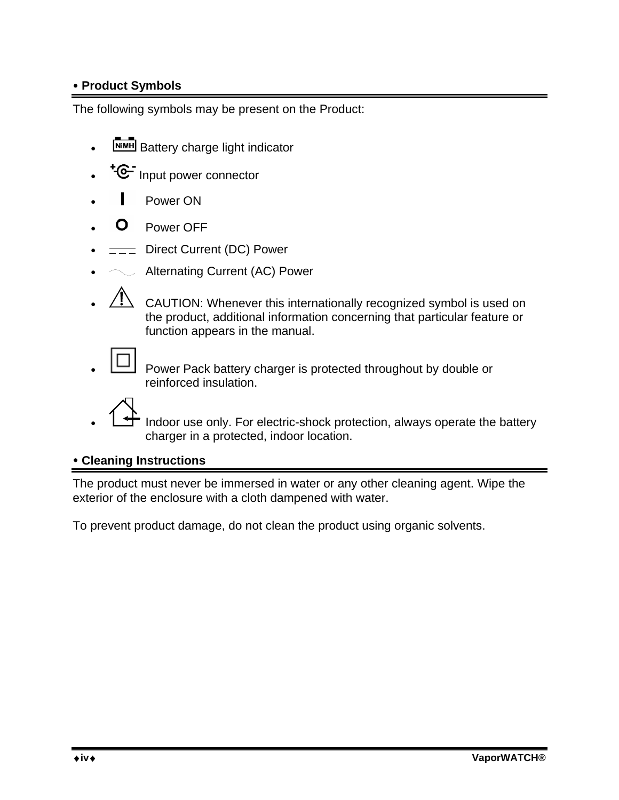### y **Product Symbols**

The following symbols may be present on the Product:

- **NIMH** Battery charge light indicator
- \*<sup>G-</sup> Input power connector
- **I** Power ON
- **O** Power OFF
- $=$  Direct Current (DC) Power
- $\angle$  Alternating Current (AC) Power
- CAUTION: Whenever this internationally recognized symbol is used on the product, additional information concerning that particular feature or function appears in the manual.

• Power Pack battery charger is protected throughout by double or reinforced insulation.

<sup>-</sup> Indoor use only. For electric-shock protection, always operate the battery charger in a protected, indoor location.

#### y **Cleaning Instructions**

The product must never be immersed in water or any other cleaning agent. Wipe the exterior of the enclosure with a cloth dampened with water.

To prevent product damage, do not clean the product using organic solvents.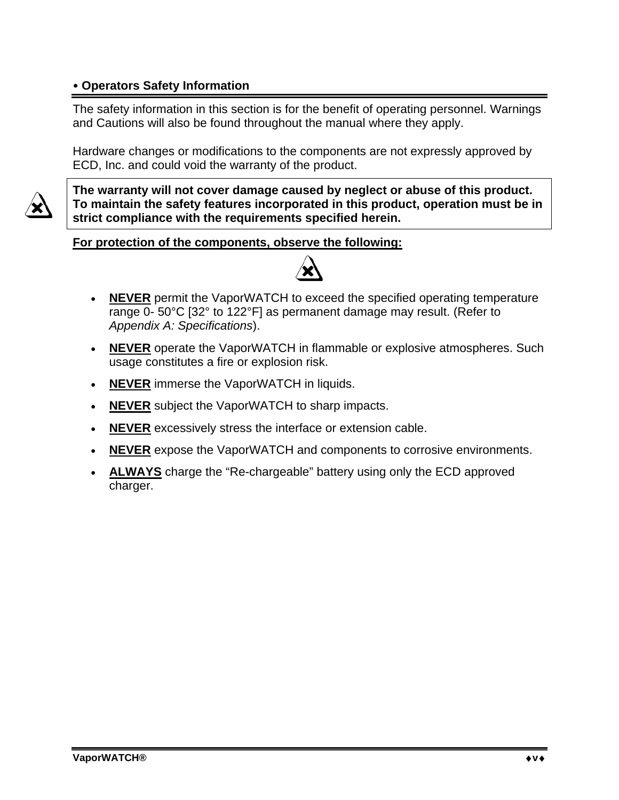#### y **Operators Safety Information**

The safety information in this section is for the benefit of operating personnel. Warnings and Cautions will also be found throughout the manual where they apply.

Hardware changes or modifications to the components are not expressly approved by ECD, Inc. and could void the warranty of the product.



**The warranty will not cover damage caused by neglect or abuse of this product. To maintain the safety features incorporated in this product, operation must be in strict compliance with the requirements specified herein.** 

**For protection of the components, observe the following:**



- **NEVER** permit the VaporWATCH to exceed the specified operating temperature range 0- 50°C [32° to 122°F] as permanent damage may result. (Refer to *Appendix A: Specifications*).
- **NEVER** operate the VaporWATCH in flammable or explosive atmospheres. Such usage constitutes a fire or explosion risk.
- **NEVER** immerse the VaporWATCH in liquids.
- **NEVER** subject the VaporWATCH to sharp impacts.
- **NEVER** excessively stress the interface or extension cable.
- **NEVER** expose the VaporWATCH and components to corrosive environments.
- **ALWAYS** charge the "Re-chargeable" battery using only the ECD approved charger.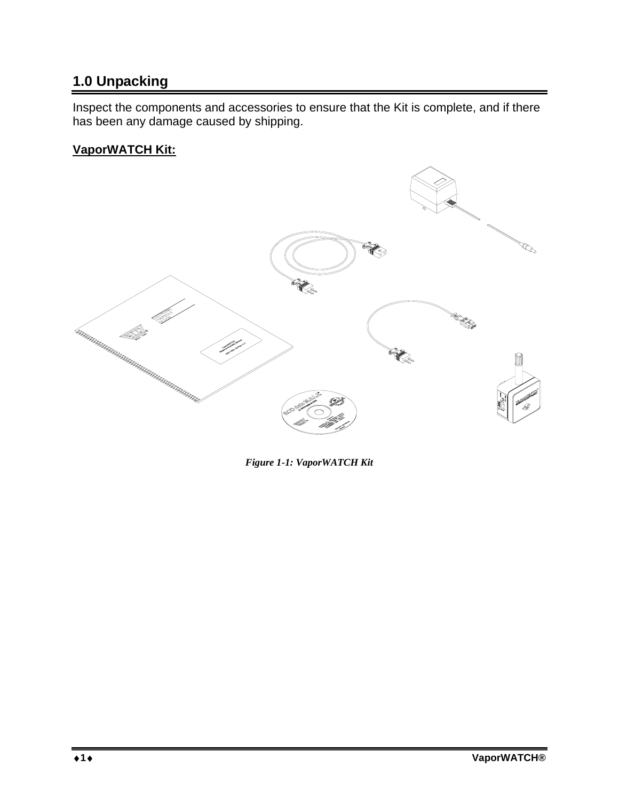# **1.0 Unpacking**

Inspect the components and accessories to ensure that the Kit is complete, and if there has been any damage caused by shipping.

#### **VaporWATCH Kit:**



*Figure 1-1: VaporWATCH Kit*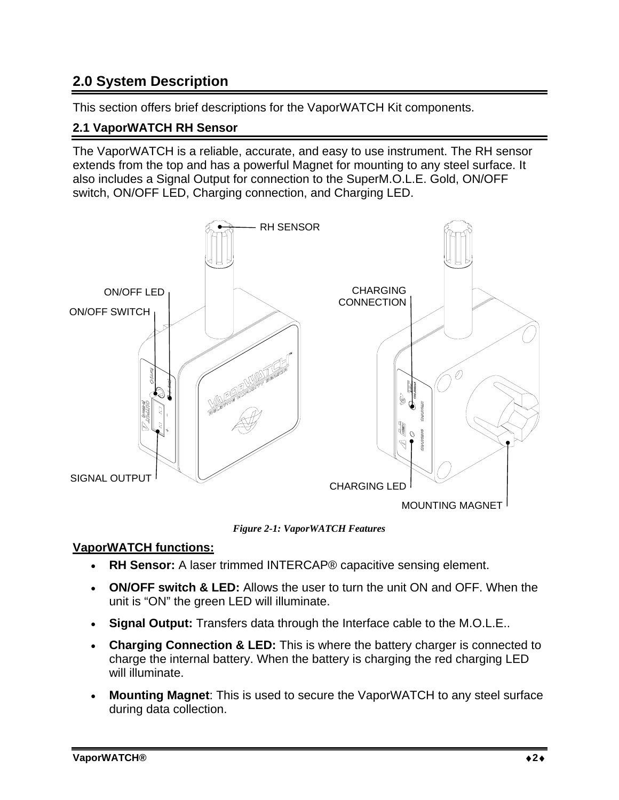### **2.0 System Description**

This section offers brief descriptions for the VaporWATCH Kit components.

#### **2.1 VaporWATCH RH Sensor**

The VaporWATCH is a reliable, accurate, and easy to use instrument. The RH sensor extends from the top and has a powerful Magnet for mounting to any steel surface. It also includes a Signal Output for connection to the SuperM.O.L.E. Gold, ON/OFF switch, ON/OFF LED, Charging connection, and Charging LED.



*Figure 2-1: VaporWATCH Features* 

#### **VaporWATCH functions:**

- **RH Sensor:** A laser trimmed INTERCAP® capacitive sensing element.
- **ON/OFF switch & LED:** Allows the user to turn the unit ON and OFF. When the unit is "ON" the green LED will illuminate.
- **Signal Output:** Transfers data through the Interface cable to the M.O.L.E..
- **Charging Connection & LED:** This is where the battery charger is connected to charge the internal battery. When the battery is charging the red charging LED will illuminate.
- **Mounting Magnet**: This is used to secure the VaporWATCH to any steel surface during data collection.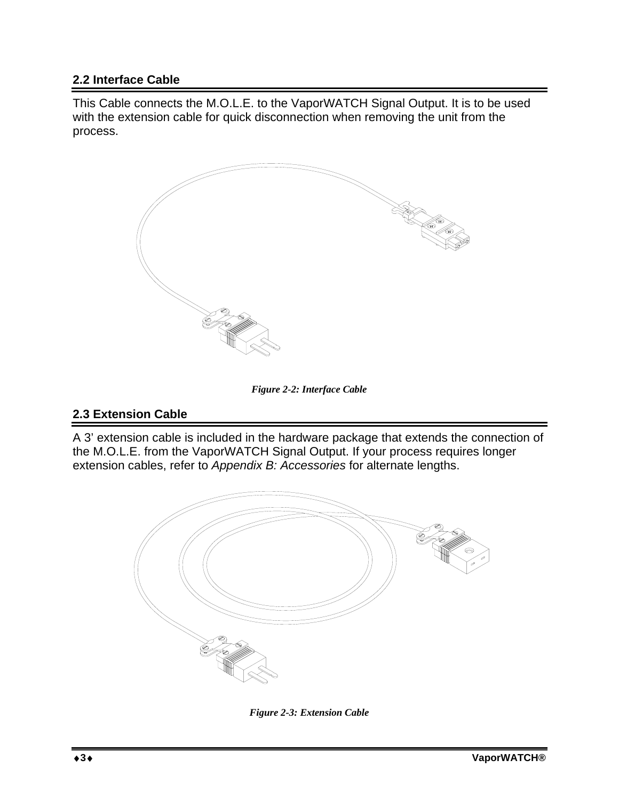#### **2.2 Interface Cable**

This Cable connects the M.O.L.E. to the VaporWATCH Signal Output. It is to be used with the extension cable for quick disconnection when removing the unit from the process.



*Figure 2-2: Interface Cable* 

#### **2.3 Extension Cable**

A 3' extension cable is included in the hardware package that extends the connection of the M.O.L.E. from the VaporWATCH Signal Output. If your process requires longer extension cables, refer to *Appendix B: Accessories* for alternate lengths.



*Figure 2-3: Extension Cable*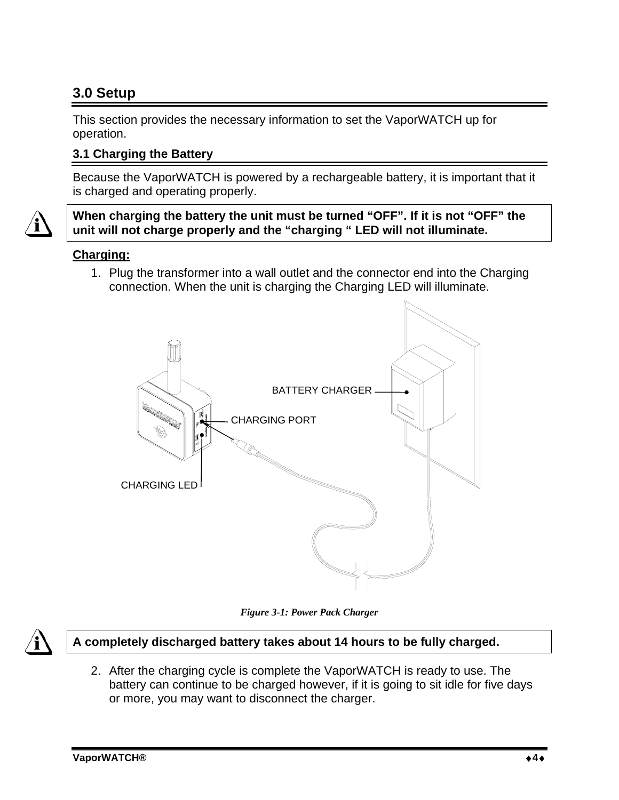# **3.0 Setup**

This section provides the necessary information to set the VaporWATCH up for operation.

#### **3.1 Charging the Battery**

Because the VaporWATCH is powered by a rechargeable battery, it is important that it is charged and operating properly.

**When charging the battery the unit must be turned "OFF". If it is not "OFF" the unit will not charge properly and the "charging " LED will not illuminate.** 

#### **Charging:**

1. Plug the transformer into a wall outlet and the connector end into the Charging connection. When the unit is charging the Charging LED will illuminate.



*Figure 3-1: Power Pack Charger* 



2. After the charging cycle is complete the VaporWATCH is ready to use. The battery can continue to be charged however, if it is going to sit idle for five days or more, you may want to disconnect the charger.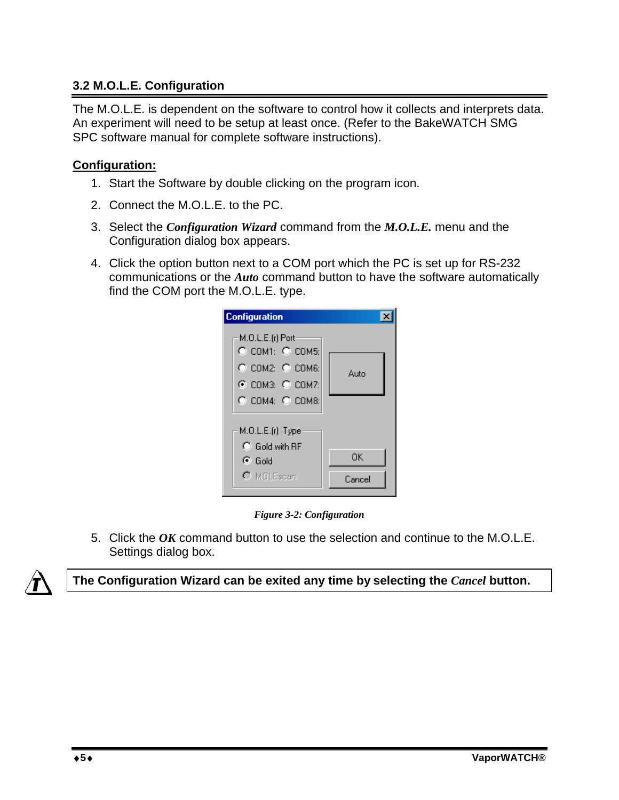#### **3.2 M.O.L.E. Configuration**

The M.O.L.E. is dependent on the software to control how it collects and interprets data. An experiment will need to be setup at least once. (Refer to the BakeWATCH SMG SPC software manual for complete software instructions).

#### **Configuration:**

- 1. Start the Software by double clicking on the program icon.
- 2. Connect the M.O.L.E. to the PC.
- 3. Select the *Configuration Wizard* command from the *M.O.L.E.* menu and the Configuration dialog box appears.
- 4. Click the option button next to a COM port which the PC is set up for RS-232 communications or the *Auto* command button to have the software automatically find the COM port the M.O.L.E. type.

| <b>Configuration</b>                                                                                             |              |
|------------------------------------------------------------------------------------------------------------------|--------------|
| M.O.L.E.(r) Port<br>$\circ$ com1: $\circ$ com5:<br>$C$ COM2: $C$ COM6:<br>C COM3: C COM7:<br>$C$ COM4: $C$ COM8: | Auto         |
| M.O.L.E.(r) Type<br>$\bigcap$ Gold with RF<br>়ে Gold<br>C MOLEscan                                              | OK<br>Cancel |

*Figure 3-2: Configuration* 

5. Click the *OK* command button to use the selection and continue to the M.O.L.E. Settings dialog box.



**The Configuration Wizard can be exited any time by selecting the** *Cancel* **button.**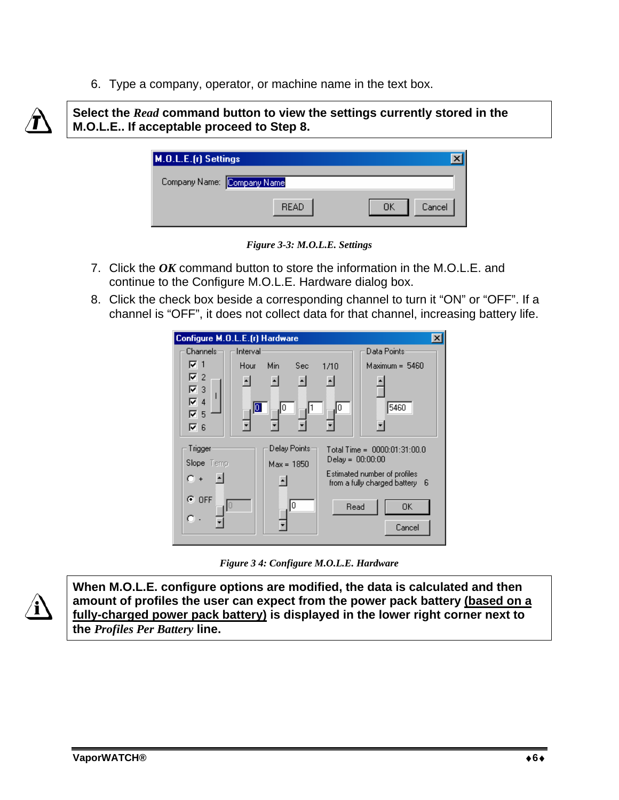6. Type a company, operator, or machine name in the text box.



**Select the** *Read* **command button to view the settings currently stored in the M.O.L.E.. If acceptable proceed to Step 8.** 

| M.O.L.E.(r) Settings       |             |               |
|----------------------------|-------------|---------------|
| Company Name: Company Name |             |               |
|                            | <b>READ</b> | OK.<br>Cancel |

*Figure 3-3: M.O.L.E. Settings* 

- 7. Click the *OK* command button to store the information in the M.O.L.E. and continue to the Configure M.O.L.E. Hardware dialog box.
- 8. Click the check box beside a corresponding channel to turn it "ON" or "OFF". If a channel is "OFF", it does not collect data for that channel, increasing battery life.



*Figure 3 4: Configure M.O.L.E. Hardware* 



**When M.O.L.E. configure options are modified, the data is calculated and then amount of profiles the user can expect from the power pack battery (based on a fully-charged power pack battery) is displayed in the lower right corner next to the** *Profiles Per Battery* **line.**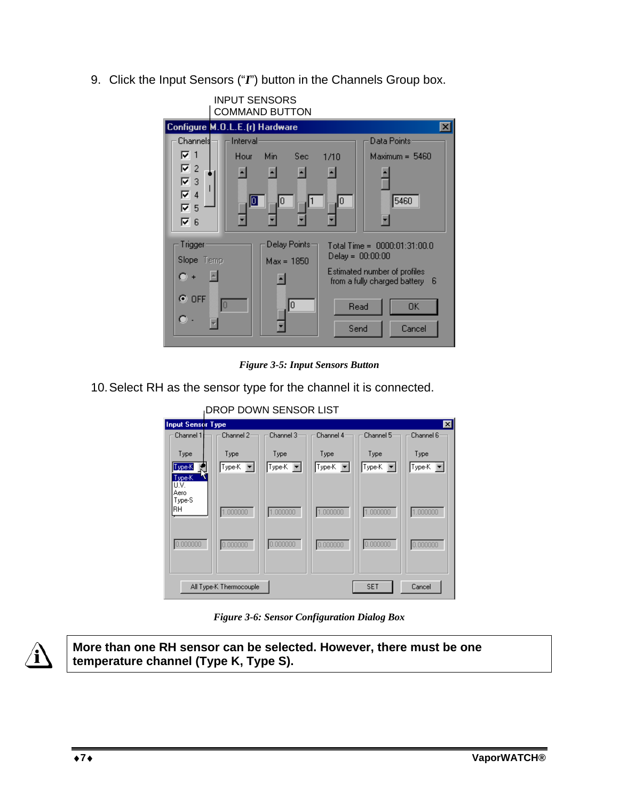9. Click the Input Sensors ("*I*") button in the Channels Group box.



*Figure 3-5: Input Sensors Button* 

10. Select RH as the sensor type for the channel it is connected.

| DROP DOWN SENSOR LIST            |                         |                    |                |                |                   |
|----------------------------------|-------------------------|--------------------|----------------|----------------|-------------------|
| <b>Input Sensor Type</b>         |                         |                    |                |                | $\vert x \vert$   |
| Channel 1                        | Channel 2               | Channel 3          | Channel 4      | Channel 5      | Channel 6         |
| Type<br>Type-K<br>Type-K<br>U.V. | Type<br>Type-K          | Type<br>Type-K   = | Type<br>Type-K | Type<br>Type-K | Type<br> Type-K ▼ |
| Aero<br>Type-S<br> RH            | 1.000000                | 1.000000           | 1.000000       | 1.000000       | 1.000000          |
| 0.000000                         | 0.000000                | 0.000000           | 0.000000       | 0.000000       | 0.000000          |
|                                  | All Type-K Thermocouple |                    |                | <b>SET</b>     | Cancel            |

*Figure 3-6: Sensor Configuration Dialog Box* 



**More than one RH sensor can be selected. However, there must be one temperature channel (Type K, Type S).**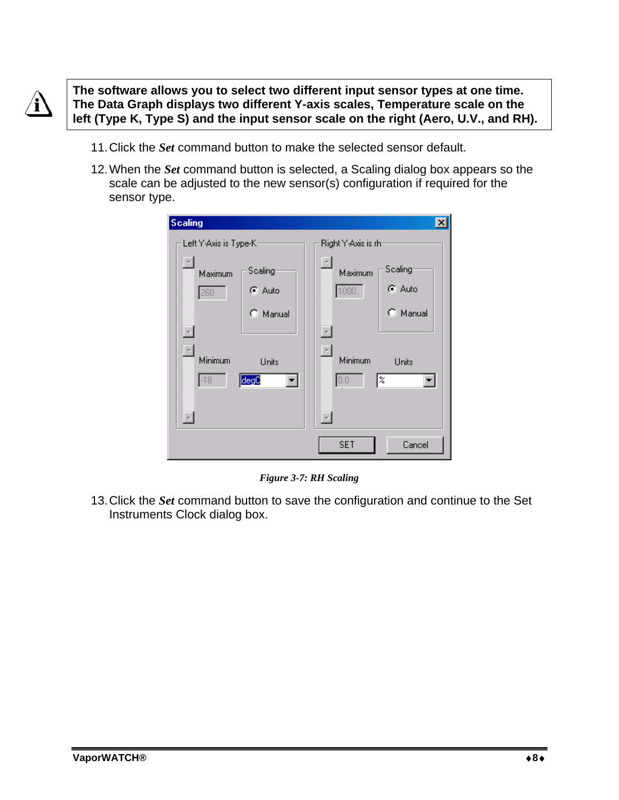

**The software allows you to select two different input sensor types at one time. The Data Graph displays two different Y-axis scales, Temperature scale on the left (Type K, Type S) and the input sensor scale on the right (Aero, U.V., and RH).** 

- 11. Click the *Set* command button to make the selected sensor default.
- 12. When the *Set* command button is selected, a Scaling dialog box appears so the scale can be adjusted to the new sensor(s) configuration if required for the sensor type.

| <b>Scaling</b>                                 | $\vert x \vert$                                |
|------------------------------------------------|------------------------------------------------|
| Left Y-Axis is Type-K                          | Right Y-Axis is rh:                            |
| $\overline{\phantom{a}}$<br>Scaling<br>Maximum | $\overline{\phantom{a}}$<br>Scaling<br>Maximum |
| G Auto<br>260                                  | ⊕ Auto<br>1000                                 |
| $\circ$ Manual                                 | C Manual                                       |
| Q                                              | $\overline{\phantom{a}}$                       |
| $\left  \right $<br>Minimum<br>Units           | $\overline{a}$<br>Minimum<br>Units             |
| degO<br>$-18$<br>▾∣                            | 0.0<br>l%                                      |
|                                                |                                                |
|                                                | $\overline{\phantom{a}}$                       |
|                                                | <b>SET</b><br>Cancel                           |

*Figure 3-7: RH Scaling* 

13. Click the *Set* command button to save the configuration and continue to the Set Instruments Clock dialog box.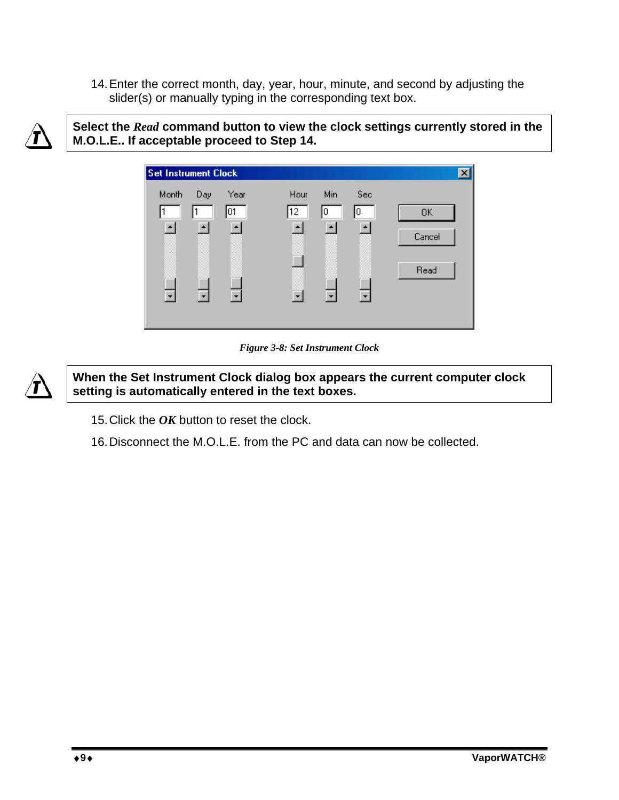14. Enter the correct month, day, year, hour, minute, and second by adjusting the slider(s) or manually typing in the corresponding text box.



**Select the** *Read* **command button to view the clock settings currently stored in the M.O.L.E.. If acceptable proceed to Step 14.** 



*Figure 3-8: Set Instrument Clock* 



**When the Set Instrument Clock dialog box appears the current computer clock setting is automatically entered in the text boxes.** 

- 15. Click the *OK* button to reset the clock.
- 16. Disconnect the M.O.L.E. from the PC and data can now be collected.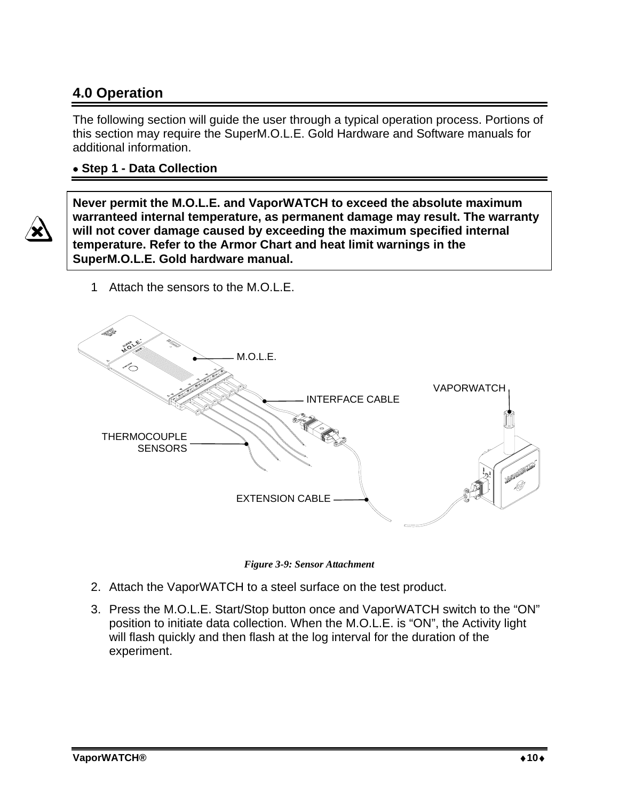## **4.0 Operation**

The following section will guide the user through a typical operation process. Portions of this section may require the SuperM.O.L.E. Gold Hardware and Software manuals for additional information.

#### • **Step 1 - Data Collection**



**Never permit the M.O.L.E. and VaporWATCH to exceed the absolute maximum warranteed internal temperature, as permanent damage may result. The warranty will not cover damage caused by exceeding the maximum specified internal temperature. Refer to the Armor Chart and heat limit warnings in the SuperM.O.L.E. Gold hardware manual.** 

- EXTENSION CABLE M.O.L.E. **THERMOCOUPLE SENSORS** INTERFACE CABLE VAPORWATCH
- 1 Attach the sensors to the M.O.L.E.

*Figure 3-9: Sensor Attachment* 

- 2. Attach the VaporWATCH to a steel surface on the test product.
- 3. Press the M.O.L.E. Start/Stop button once and VaporWATCH switch to the "ON" position to initiate data collection. When the M.O.L.E. is "ON", the Activity light will flash quickly and then flash at the log interval for the duration of the experiment.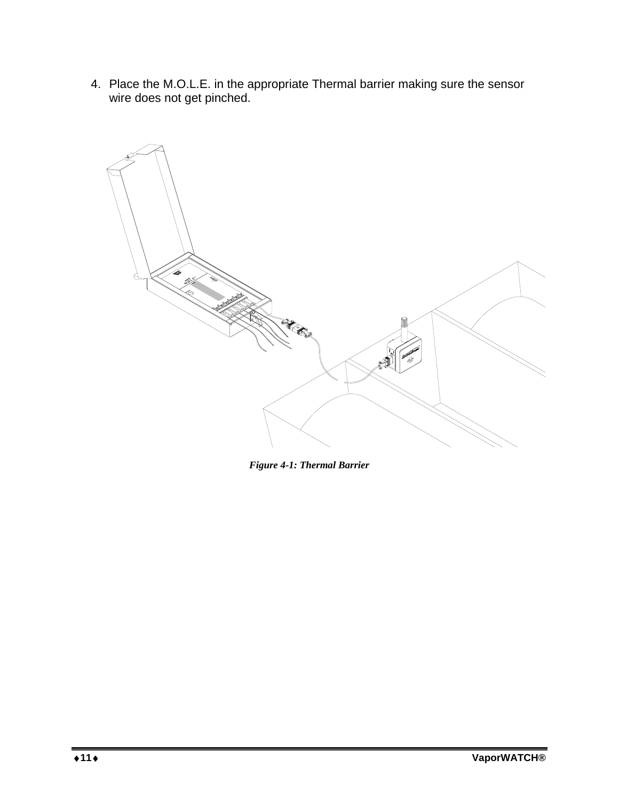4. Place the M.O.L.E. in the appropriate Thermal barrier making sure the sensor wire does not get pinched.



*Figure 4-1: Thermal Barrier*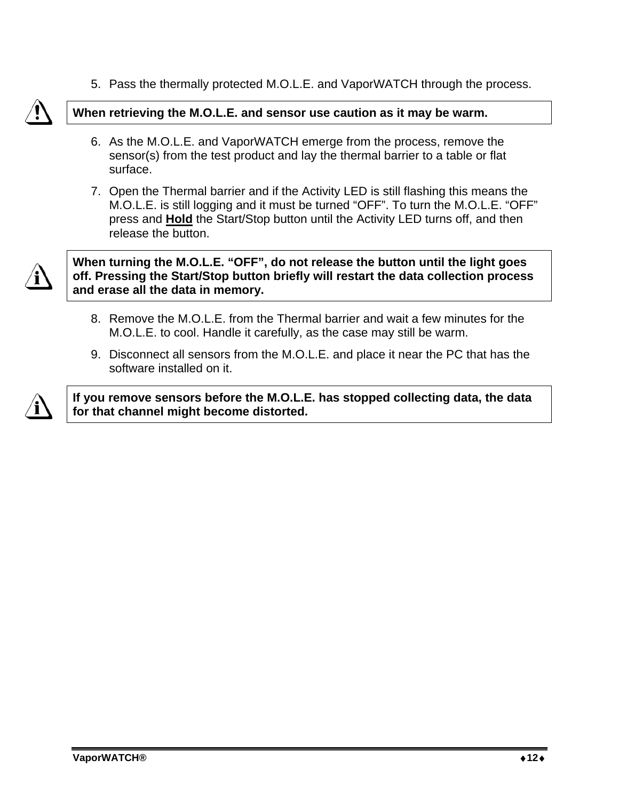5. Pass the thermally protected M.O.L.E. and VaporWATCH through the process.



#### **When retrieving the M.O.L.E. and sensor use caution as it may be warm.**

- 6. As the M.O.L.E. and VaporWATCH emerge from the process, remove the sensor(s) from the test product and lay the thermal barrier to a table or flat surface.
- 7. Open the Thermal barrier and if the Activity LED is still flashing this means the M.O.L.E. is still logging and it must be turned "OFF". To turn the M.O.L.E. "OFF" press and **Hold** the Start/Stop button until the Activity LED turns off, and then release the button.



**When turning the M.O.L.E. "OFF", do not release the button until the light goes off. Pressing the Start/Stop button briefly will restart the data collection process and erase all the data in memory.** 

- 8. Remove the M.O.L.E. from the Thermal barrier and wait a few minutes for the M.O.L.E. to cool. Handle it carefully, as the case may still be warm.
- 9. Disconnect all sensors from the M.O.L.E. and place it near the PC that has the software installed on it.



**If you remove sensors before the M.O.L.E. has stopped collecting data, the data for that channel might become distorted.**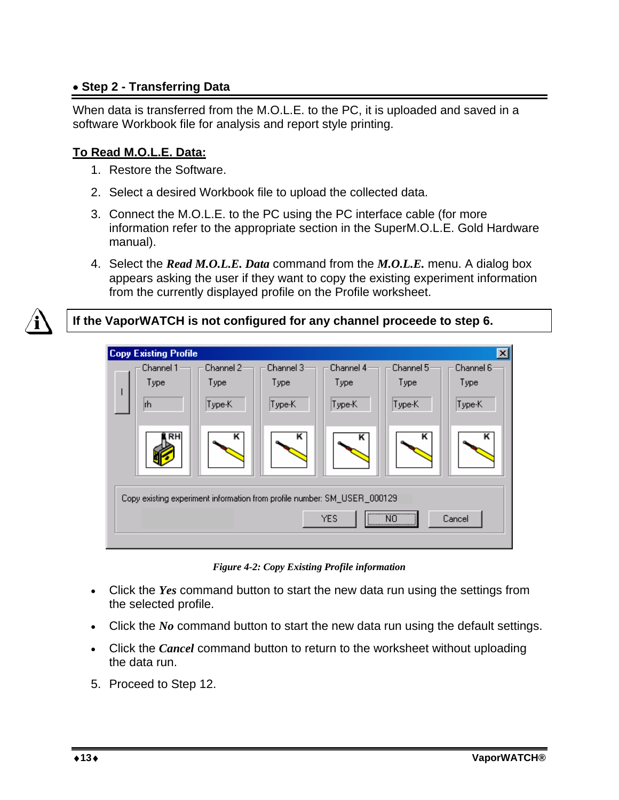#### • **Step 2 - Transferring Data**

When data is transferred from the M.O.L.E. to the PC, it is uploaded and saved in a software Workbook file for analysis and report style printing.

#### **To Read M.O.L.E. Data:**

- 1. Restore the Software.
- 2. Select a desired Workbook file to upload the collected data.
- 3. Connect the M.O.L.E. to the PC using the PC interface cable (for more information refer to the appropriate section in the SuperM.O.L.E. Gold Hardware manual).
- 4. Select the *Read M.O.L.E. Data* command from the *M.O.L.E.* menu. A dialog box appears asking the user if they want to copy the existing experiment information from the currently displayed profile on the Profile worksheet.

#### **If the VaporWATCH is not configured for any channel proceede to step 6.**



*Figure 4-2: Copy Existing Profile information* 

- Click the *Yes* command button to start the new data run using the settings from the selected profile.
- Click the *No* command button to start the new data run using the default settings.
- Click the *Cancel* command button to return to the worksheet without uploading the data run.
- 5. Proceed to Step 12.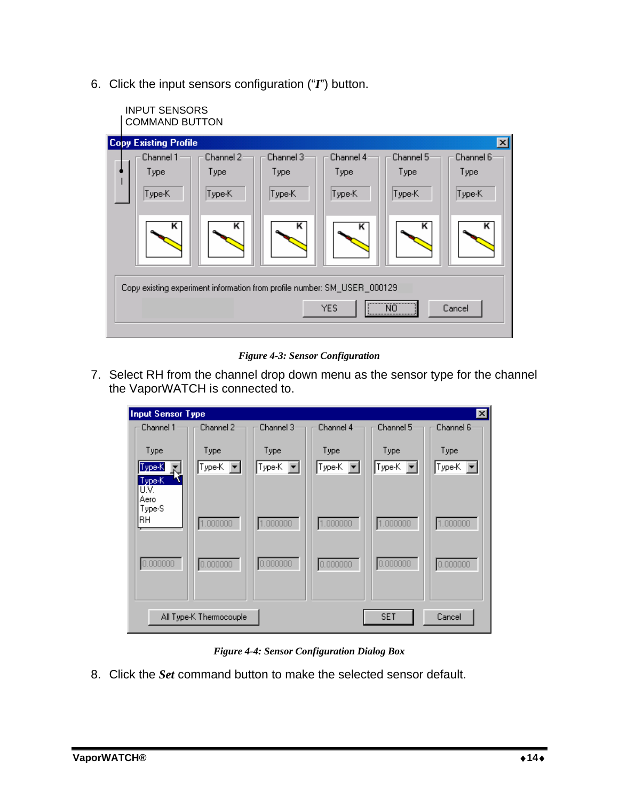6. Click the input sensors configuration ("*I*") button.

| <b>INPUT SENSORS</b><br><b>COMMAND BUTTON</b> |           |                                                                          |            |           |                 |
|-----------------------------------------------|-----------|--------------------------------------------------------------------------|------------|-----------|-----------------|
| <b>Copy Existing Profile</b>                  |           |                                                                          |            |           | $\vert x \vert$ |
| Channel 1                                     | Channel 2 | Channel 3                                                                | Channel 4  | Channel 5 | Channel 6       |
| Type                                          | Type      | Type                                                                     | Type       | Type      | Type            |
| Type-K                                        | Type-K    | Type-K                                                                   | Type-K     | Type-K    | Type-K          |
| κ                                             | κ         | κ                                                                        | κ          | κ         | κ               |
|                                               |           | Copy existing experiment information from profile number: SM_USER_000129 | <b>YES</b> | N0        | Cancel          |

*Figure 4-3: Sensor Configuration* 

7. Select RH from the channel drop down menu as the sensor type for the channel the VaporWATCH is connected to.

| <b>Input Sensor Type</b>     |                         |                                        |                     |                     | $\mathbf{z}$        |
|------------------------------|-------------------------|----------------------------------------|---------------------|---------------------|---------------------|
| Channel $1 \rightarrow \pi$  | : Channel 2:            | Channel 3                              | Channel 4           | Channel 5           | Channel 6           |
| Type<br>Type-K<br>Type-K     | Type<br>$Type-K$ $\neg$ | Type<br>$Type-K$ $\blacktriangleright$ | Type<br> Type-K   ▼ | Type<br>$ TypeK  =$ | Type<br>$ TypeK  =$ |
| U.V.<br>Aero<br>Type-S<br>RН | 1.000000                | 1.000000                               | 1.000000            | 1.000000            | 1.000000            |
| 0.000000                     | 0.000000                | 0.000000                               | 0.000000            | 0.000000            | 0.000000            |
|                              | All Type-K Thermocouple |                                        |                     | <b>SET</b>          | Cancel              |

*Figure 4-4: Sensor Configuration Dialog Box* 

8. Click the *Set* command button to make the selected sensor default.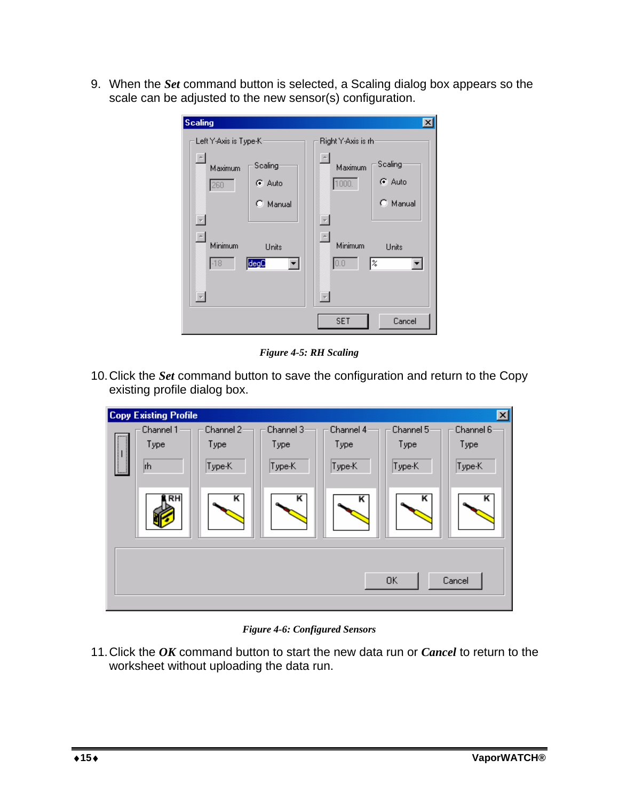9. When the *Set* command button is selected, a Scaling dialog box appears so the scale can be adjusted to the new sensor(s) configuration.

| <b>Scaling</b>                      |          |                                     | ×        |
|-------------------------------------|----------|-------------------------------------|----------|
| Left Y-Axis is Type-Kr              |          | Right Y-Axis is rh:                 |          |
| $\overline{\phantom{a}}$<br>Maximum | Scaling  | $\overline{\phantom{a}}$<br>Maximum | Scaling  |
| 260                                 | ় Auto   | 1000                                | G Auto   |
|                                     | C Manual |                                     | C Manual |
| $\overline{\phantom{a}}$            |          | $\overline{\phantom{a}}$            |          |
| $\overline{\phantom{a}}$<br>Minimum | Units    | $\overline{\phantom{a}}$<br>Minimum | Units    |
| $-18$<br>$\overline{\phantom{a}}$   | degQ     | 0.0 <br>$\overline{\phantom{a}}$    | %        |
|                                     |          | <b>SET</b>                          | Cancel   |

*Figure 4-5: RH Scaling* 

10. Click the *Set* command button to save the configuration and return to the Copy existing profile dialog box.

| <b>Copy Existing Profile</b> |           |           |           |           | 図         |
|------------------------------|-----------|-----------|-----------|-----------|-----------|
| Channel 1                    | Channel 2 | Channel 3 | Channel 4 | Channel 5 | Channel 6 |
| Type                         | Type      | Type      | Type      | Type      | Type      |
| rh                           | Type-K    | Type-K    | Type-K    | Type-K    | Type-K    |
| <b>RH</b>                    | κ         | κ         | κ         | κ         | κ         |
|                              |           |           |           | <b>OK</b> | Cancel    |

*Figure 4-6: Configured Sensors* 

11. Click the *OK* command button to start the new data run or *Cancel* to return to the worksheet without uploading the data run.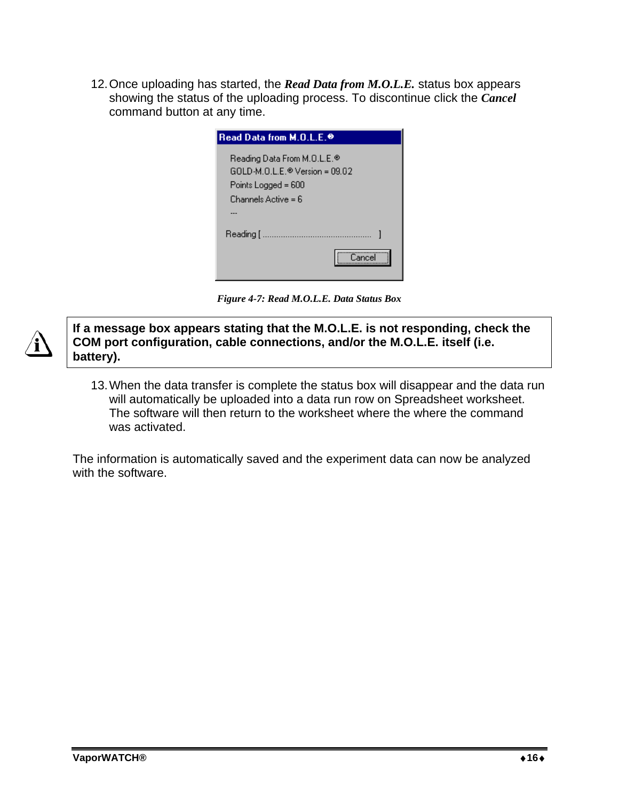12. Once uploading has started, the *Read Data from M.O.L.E.* status box appears showing the status of the uploading process. To discontinue click the *Cancel* command button at any time.

| Read Data from M.O.L.E. @                     |
|-----------------------------------------------|
| Reading Data From M.O.L.E.®                   |
| $GOLD \cdot M.D.L.E. \otimes Version = 09.02$ |
| Points Logged = 600                           |
| Channels Active = 6                           |
|                                               |
| Reading [ ………………………………………                     |
| Cancel                                        |

*Figure 4-7: Read M.O.L.E. Data Status Box* 

**If a message box appears stating that the M.O.L.E. is not responding, check the COM port configuration, cable connections, and/or the M.O.L.E. itself (i.e. battery).** 

13. When the data transfer is complete the status box will disappear and the data run will automatically be uploaded into a data run row on Spreadsheet worksheet. The software will then return to the worksheet where the where the command was activated.

The information is automatically saved and the experiment data can now be analyzed with the software.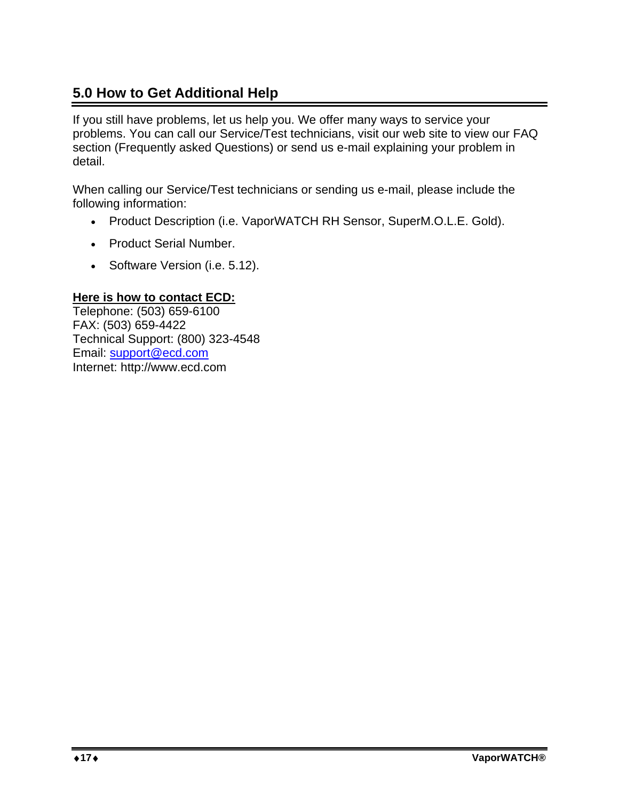# **5.0 How to Get Additional Help**

If you still have problems, let us help you. We offer many ways to service your problems. You can call our Service/Test technicians, visit our web site to view our FAQ section (Frequently asked Questions) or send us e-mail explaining your problem in detail.

When calling our Service/Test technicians or sending us e-mail, please include the following information:

- Product Description (i.e. VaporWATCH RH Sensor, SuperM.O.L.E. Gold).
- Product Serial Number.
- Software Version (i.e. 5.12).

#### **Here is how to contact ECD:**

Telephone: (503) 659-6100 FAX: (503) 659-4422 Technical Support: (800) 323-4548 Email: support@ecd.com Internet: http://www.ecd.com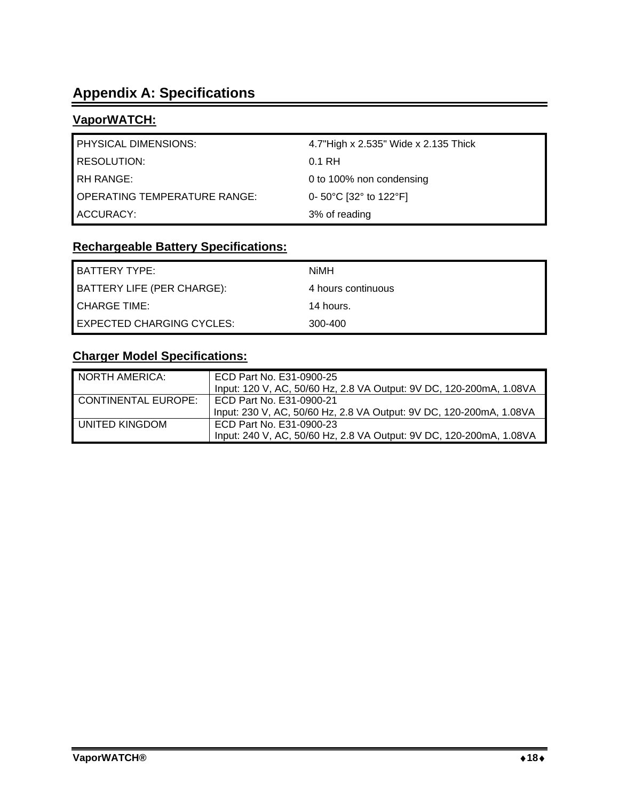# **Appendix A: Specifications**

### **VaporWATCH:**

| <b>PHYSICAL DIMENSIONS:</b>         | 4.7"High x 2.535" Wide x 2.135 Thick |
|-------------------------------------|--------------------------------------|
| <b>RESOLUTION:</b>                  | 0.1 RH                               |
| <b>RH RANGE:</b>                    | 0 to 100% non condensing             |
| <b>OPERATING TEMPERATURE RANGE:</b> | 0- 50°C [32° to 122°F]               |
| ACCURACY:                           | 3% of reading                        |

# **Rechargeable Battery Specifications:**

| <b>BATTERY TYPE:</b>              | NiMH               |
|-----------------------------------|--------------------|
| <b>BATTERY LIFE (PER CHARGE):</b> | 4 hours continuous |
| <b>I</b> CHARGE TIME:             | 14 hours.          |
| <b>LEXPECTED CHARGING CYCLES:</b> | 300-400            |

### **Charger Model Specifications:**

| NORTH AMERICA:      | ECD Part No. E31-0900-25                                            |
|---------------------|---------------------------------------------------------------------|
|                     | Input: 120 V, AC, 50/60 Hz, 2.8 VA Output: 9V DC, 120-200mA, 1.08VA |
| CONTINENTAL EUROPE: | ECD Part No. E31-0900-21                                            |
|                     | Input: 230 V, AC, 50/60 Hz, 2.8 VA Output: 9V DC, 120-200mA, 1.08VA |
| LUNITED KINGDOM     | ECD Part No. E31-0900-23                                            |
|                     | Input: 240 V, AC, 50/60 Hz, 2.8 VA Output: 9V DC, 120-200mA, 1.08VA |